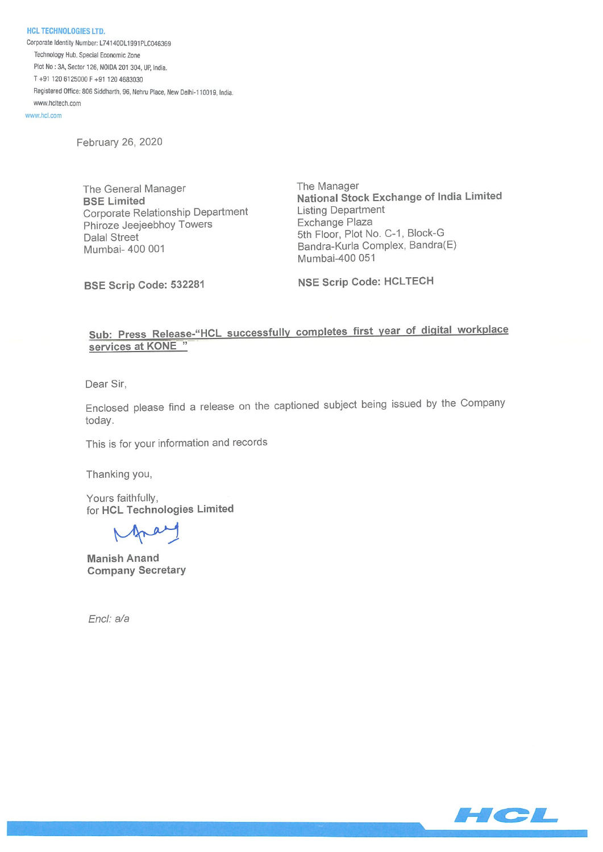NCL TECHNOLOGIES LTD. Corporate Identity Number: L741400L1991PLC046369 Technology Hub. Special Economic Zone Plot No: 3A, Sector 126, N0104 201 304, UP, India, T+91 1206125000F+91 1204583030 Registered Office: 806 Siddharth, 96, Nehru Place, New Delhi-110019, India. www.hcltech.com

www.hcl.com

February 26, 2020

The General Manager The Manager Corporate Relationship Department<br>
Phiroze Jeejeebhov Towers<br>
Exchange Plaza Phiroze Jeejeebhoy Towers Dalal Street 5th Floor, Plot No. C-1, Block-G<br>Mumbai- 400 001 Bandra-Kurla Complex, Bandra

BSE Limited<br>
Corporate Relationship Department<br>
Corporate Relationship Department<br>
Listing Department Bandra-Kurla Complex, Bandra(E) Mumbai-400 051

BSE Scrip Code: 532281 NSE Scrip Code: HCLTECH

# Sub: Press Release-"HCL successfully completes first year of digital workplace services at KONE"

Dear Sir,

Enclosed please find a release on the captioned subject being issued by the Company today.

This is for your information and records

Thanking you,

Yours faithfully, for HCL Technologies Limited

 $\sqrt{2}$ 

Manish Anand Company Secretary

Encl: a/a

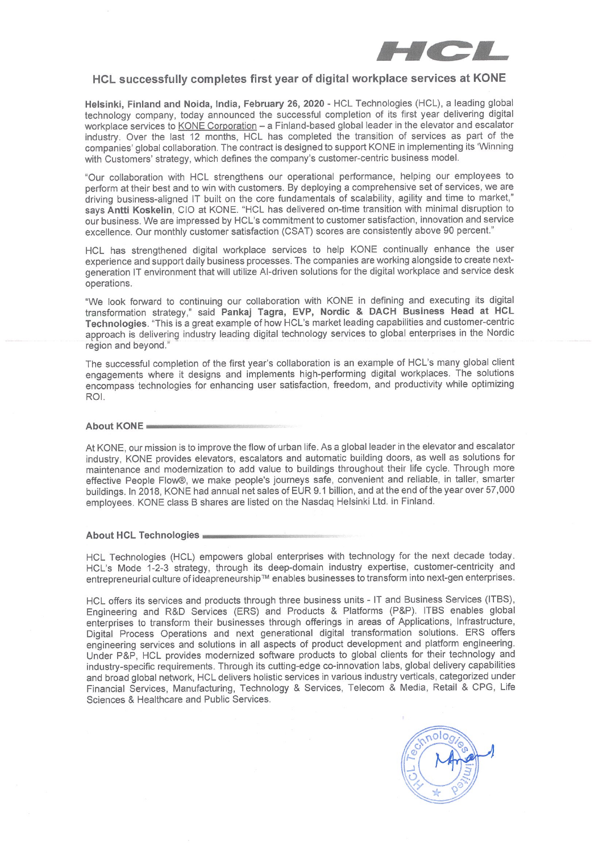

# HCL successfully completes first year of digital workplace services at KONE

Helsinki, Finland and Noida, India, February 26, 2020- HCL Technologies (HCL), a leading global technology company, today announced the successful completion of its first year delivering digital workplace services to KONE Corporation - a Finland-based global leader in the elevator and escalator industry. Over the last 12 months, HCL has completed the transition of services as part of the companies' global collaboration. The contract is designed to support KONE in implementing its 'Winning with Customers' strategy, which defines the company's customer-centric business model.

'Our collaboration with HCL strengthens our operational performance, helping our employees to perform at their best and to win with customers. By deploying a comprehensive set of services, we are driving business-aligned IT built on the core fundamentals of scalability, agility and time to market,' says Antti Koskelin, CIO at KONE. "HCL has delivered on-time transition with minimal disruption to our business. We are impressed by HCL's commitment to customer satisfaction, innovation and service excellence. Our monthly customer satisfaction (CSAT) scores are consistently above 90 percent."

HCL has strengthened digital workplace services to help KONE continually enhance the user experience and support daily business processes. The companies are working alongside to create nextgeneration IT environment that will utilize Al-driven solutions for the digital workplace and service desk operations.

"We look forward to continuing our collaboration with KONE in defining and executing its digital transformation strategy," said Pankaj Tagra, EVP, Nordic & DACH Business Head at HCL Technologies. This is a great example of how HCL's market leading capabilities and customer-centric approach is delivering industry leading digital technology services to global enterprises in the Nordic region and beyond."

The successful completion of the first year's collaboration is an example of HCL's many global client engagements where it designs and implements high-performing digital workplaces. The solutions encompass technologies for enhancing user satisfaction, freedom, and productivity while optimizing ROl.

#### About KONE

At KONE, our mission is to improve the flow of urban life. As a global leader in the elevator and escalator industry, KONE provides elevators, escalators and automatic building doors, as well as solutions for maintenance and modernization to add value to buildings throughout their life cycle. Through more effective People Flow®, we make people's journeys safe, convenient and reliable, in taller, smarter buildings. In 2018, KONE had annual net sales of EUR 9.1 billion, and at the end of the year over 57,000 employees. KONE class B shares are listed on the Nasdaq Helsinki Ltd. in Finland.

### About HcL Technologies

HCL Technologies (HCL) empowers global enterprises with technology for the next decade today. HCL's Mode 1-2-3 strategy, through its deep-domain industry expertise, customer-centricity and entrepreneurial culture of ideapreneurship™ enables businesses to transform into next-gen enterprises.

HCL offers its services and products through three business units - IT and Business Services (ITBS), Engineering and R&D Services (ERS) and Products & Platforms (P&P). ITBS enables global enterprises to transform their businesses through offerings in areas of Applications, Infrastructure, Digital Process Operations and next generational digital transformation solutions. ERS offers engineering services and solutions in all aspects of product development and platform engineering. Under P&P, HCL provides modernized software products to global clients for their technology and industry-specific requirements. Through its cuffing-edge co-innovation labs, global delivery capabilities and broad global network, HCL delivers holistic services in various industry verticals, categorized under Financial Services, Manufacturing, Technology & Services, Telecom & Media, Retail & CPG, Life Sciences & Healthcare and Public Services.